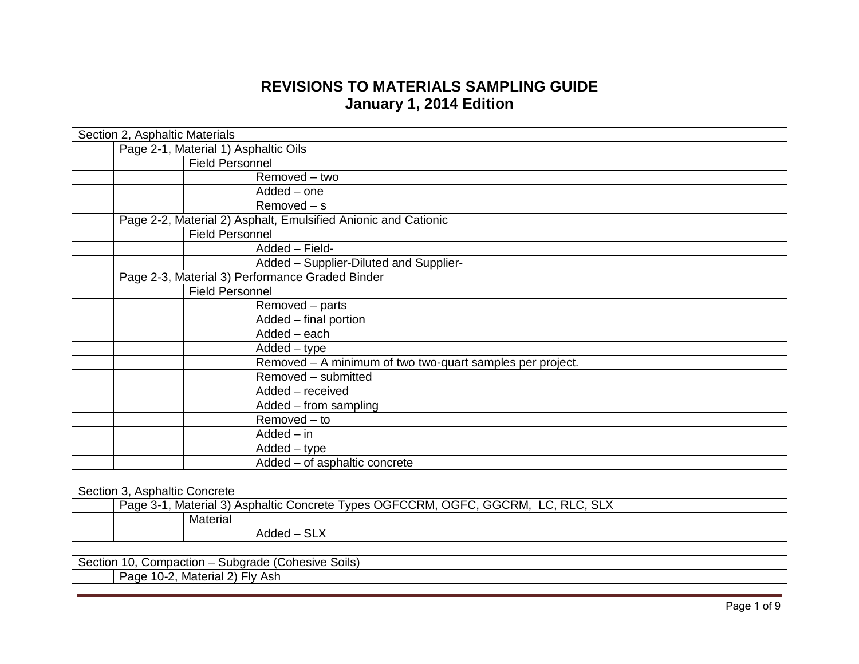## **REVISIONS TO MATERIALS SAMPLING GUIDE January 1, 2014 Edition**

| Section 2, Asphaltic Materials |                                      |                                                                                   |  |  |
|--------------------------------|--------------------------------------|-----------------------------------------------------------------------------------|--|--|
|                                | Page 2-1, Material 1) Asphaltic Oils |                                                                                   |  |  |
|                                | <b>Field Personnel</b>               |                                                                                   |  |  |
|                                |                                      | $R$ emoved – two                                                                  |  |  |
|                                |                                      | Added - one                                                                       |  |  |
|                                |                                      | $Removed - s$                                                                     |  |  |
|                                |                                      | Page 2-2, Material 2) Asphalt, Emulsified Anionic and Cationic                    |  |  |
|                                |                                      | <b>Field Personnel</b>                                                            |  |  |
|                                |                                      | Added - Field-                                                                    |  |  |
|                                |                                      | Added - Supplier-Diluted and Supplier-                                            |  |  |
|                                |                                      | Page 2-3, Material 3) Performance Graded Binder                                   |  |  |
|                                |                                      | <b>Field Personnel</b>                                                            |  |  |
|                                |                                      | Removed - parts                                                                   |  |  |
|                                |                                      | Added - final portion                                                             |  |  |
|                                |                                      | $Added - each$                                                                    |  |  |
|                                |                                      | $Added - type$                                                                    |  |  |
|                                |                                      | Removed - A minimum of two two-quart samples per project.                         |  |  |
|                                |                                      | Removed - submitted                                                               |  |  |
|                                |                                      | Added - received                                                                  |  |  |
|                                |                                      | Added – from sampling                                                             |  |  |
|                                |                                      | $Removed - to$                                                                    |  |  |
|                                |                                      | $Added - in$                                                                      |  |  |
|                                |                                      | $Added - type$                                                                    |  |  |
|                                |                                      | Added - of asphaltic concrete                                                     |  |  |
|                                |                                      |                                                                                   |  |  |
|                                | Section 3, Asphaltic Concrete        |                                                                                   |  |  |
|                                |                                      | Page 3-1, Material 3) Asphaltic Concrete Types OGFCCRM, OGFC, GGCRM, LC, RLC, SLX |  |  |
|                                |                                      | Material                                                                          |  |  |
|                                |                                      | $Added - SLX$                                                                     |  |  |
|                                |                                      |                                                                                   |  |  |
|                                |                                      | Section 10, Compaction - Subgrade (Cohesive Soils)                                |  |  |
|                                |                                      | Page 10-2, Material 2) Fly Ash                                                    |  |  |
|                                |                                      |                                                                                   |  |  |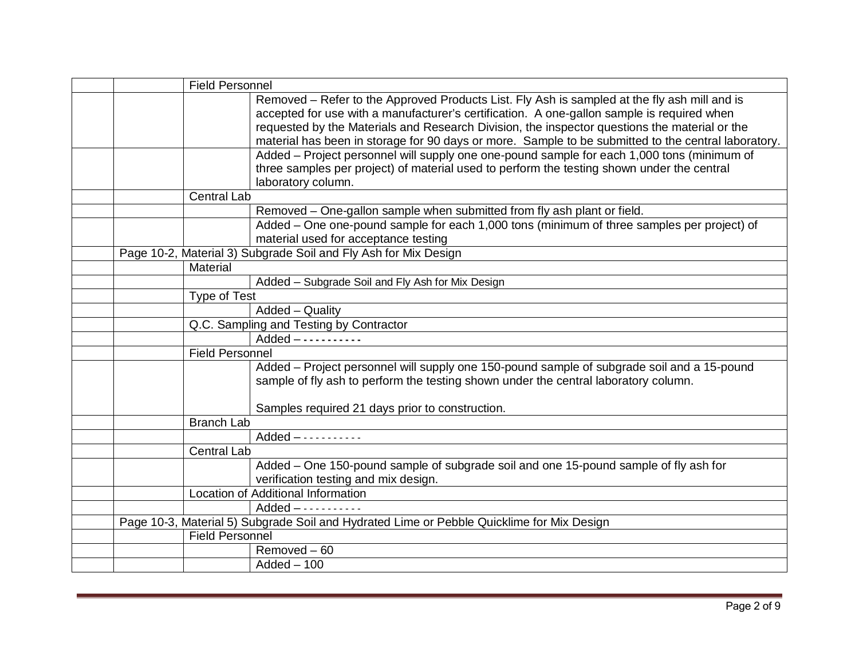|  | <b>Field Personnel</b> |                                                                                                     |
|--|------------------------|-----------------------------------------------------------------------------------------------------|
|  |                        | Removed – Refer to the Approved Products List. Fly Ash is sampled at the fly ash mill and is        |
|  |                        | accepted for use with a manufacturer's certification. A one-gallon sample is required when          |
|  |                        | requested by the Materials and Research Division, the inspector questions the material or the       |
|  |                        | material has been in storage for 90 days or more. Sample to be submitted to the central laboratory. |
|  |                        | Added - Project personnel will supply one one-pound sample for each 1,000 tons (minimum of          |
|  |                        | three samples per project) of material used to perform the testing shown under the central          |
|  |                        | laboratory column.                                                                                  |
|  | <b>Central Lab</b>     |                                                                                                     |
|  |                        | Removed - One-gallon sample when submitted from fly ash plant or field.                             |
|  |                        | Added - One one-pound sample for each 1,000 tons (minimum of three samples per project) of          |
|  |                        | material used for acceptance testing                                                                |
|  |                        | Page 10-2, Material 3) Subgrade Soil and Fly Ash for Mix Design                                     |
|  | Material               |                                                                                                     |
|  |                        | Added - Subgrade Soil and Fly Ash for Mix Design                                                    |
|  | <b>Type of Test</b>    |                                                                                                     |
|  |                        | Added - Quality                                                                                     |
|  |                        | Q.C. Sampling and Testing by Contractor                                                             |
|  |                        | $Added$ -----------                                                                                 |
|  | <b>Field Personnel</b> |                                                                                                     |
|  |                        | Added - Project personnel will supply one 150-pound sample of subgrade soil and a 15-pound          |
|  |                        | sample of fly ash to perform the testing shown under the central laboratory column.                 |
|  |                        |                                                                                                     |
|  |                        | Samples required 21 days prior to construction.                                                     |
|  | <b>Branch Lab</b>      |                                                                                                     |
|  |                        | $Added$ - - - - - - - - - - -                                                                       |
|  | <b>Central Lab</b>     |                                                                                                     |
|  |                        | Added – One 150-pound sample of subgrade soil and one 15-pound sample of fly ash for                |
|  |                        | verification testing and mix design.                                                                |
|  |                        | Location of Additional Information                                                                  |
|  |                        | $Added$ - - - - - - - - - - -                                                                       |
|  |                        | Page 10-3, Material 5) Subgrade Soil and Hydrated Lime or Pebble Quicklime for Mix Design           |
|  | <b>Field Personnel</b> |                                                                                                     |
|  |                        | Removed - 60                                                                                        |
|  |                        | $Added - 100$                                                                                       |
|  |                        |                                                                                                     |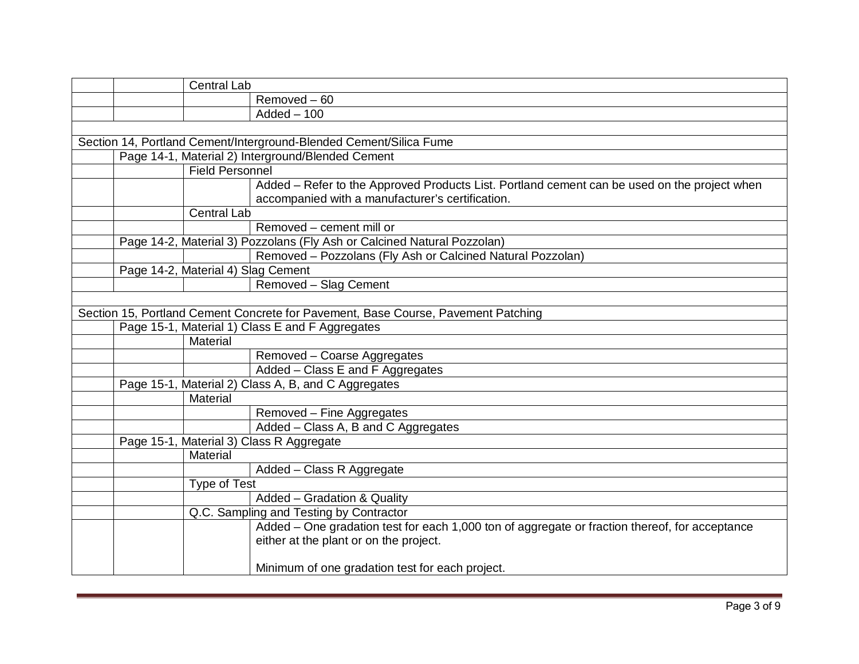|                                                                                   | <b>Central Lab</b>                                  |                                                                                                |  |
|-----------------------------------------------------------------------------------|-----------------------------------------------------|------------------------------------------------------------------------------------------------|--|
|                                                                                   |                                                     | Removed - 60                                                                                   |  |
|                                                                                   |                                                     | $Added - 100$                                                                                  |  |
|                                                                                   |                                                     |                                                                                                |  |
|                                                                                   |                                                     | Section 14, Portland Cement/Interground-Blended Cement/Silica Fume                             |  |
|                                                                                   |                                                     | Page 14-1, Material 2) Interground/Blended Cement                                              |  |
|                                                                                   | Field Personnel                                     |                                                                                                |  |
|                                                                                   |                                                     | Added - Refer to the Approved Products List. Portland cement can be used on the project when   |  |
|                                                                                   |                                                     | accompanied with a manufacturer's certification.                                               |  |
|                                                                                   | <b>Central Lab</b>                                  |                                                                                                |  |
|                                                                                   |                                                     | Removed - cement mill or                                                                       |  |
|                                                                                   |                                                     | Page 14-2, Material 3) Pozzolans (Fly Ash or Calcined Natural Pozzolan)                        |  |
|                                                                                   |                                                     | Removed - Pozzolans (Fly Ash or Calcined Natural Pozzolan)                                     |  |
| Page 14-2, Material 4) Slag Cement                                                |                                                     |                                                                                                |  |
|                                                                                   |                                                     | Removed - Slag Cement                                                                          |  |
|                                                                                   |                                                     |                                                                                                |  |
| Section 15, Portland Cement Concrete for Pavement, Base Course, Pavement Patching |                                                     |                                                                                                |  |
|                                                                                   | Page 15-1, Material 1) Class E and F Aggregates     |                                                                                                |  |
|                                                                                   | Material                                            |                                                                                                |  |
|                                                                                   |                                                     | Removed - Coarse Aggregates                                                                    |  |
|                                                                                   |                                                     | Added - Class E and F Aggregates                                                               |  |
|                                                                                   | Page 15-1, Material 2) Class A, B, and C Aggregates |                                                                                                |  |
|                                                                                   | Material                                            |                                                                                                |  |
|                                                                                   |                                                     | Removed - Fine Aggregates                                                                      |  |
|                                                                                   |                                                     | Added - Class A, B and C Aggregates                                                            |  |
|                                                                                   |                                                     | Page 15-1, Material 3) Class R Aggregate                                                       |  |
|                                                                                   | Material                                            |                                                                                                |  |
|                                                                                   |                                                     | Added - Class R Aggregate                                                                      |  |
|                                                                                   | Type of Test                                        |                                                                                                |  |
|                                                                                   |                                                     | Added - Gradation & Quality                                                                    |  |
|                                                                                   |                                                     | Q.C. Sampling and Testing by Contractor                                                        |  |
|                                                                                   |                                                     | Added – One gradation test for each 1,000 ton of aggregate or fraction thereof, for acceptance |  |
|                                                                                   |                                                     | either at the plant or on the project.                                                         |  |
|                                                                                   |                                                     | Minimum of one gradation test for each project.                                                |  |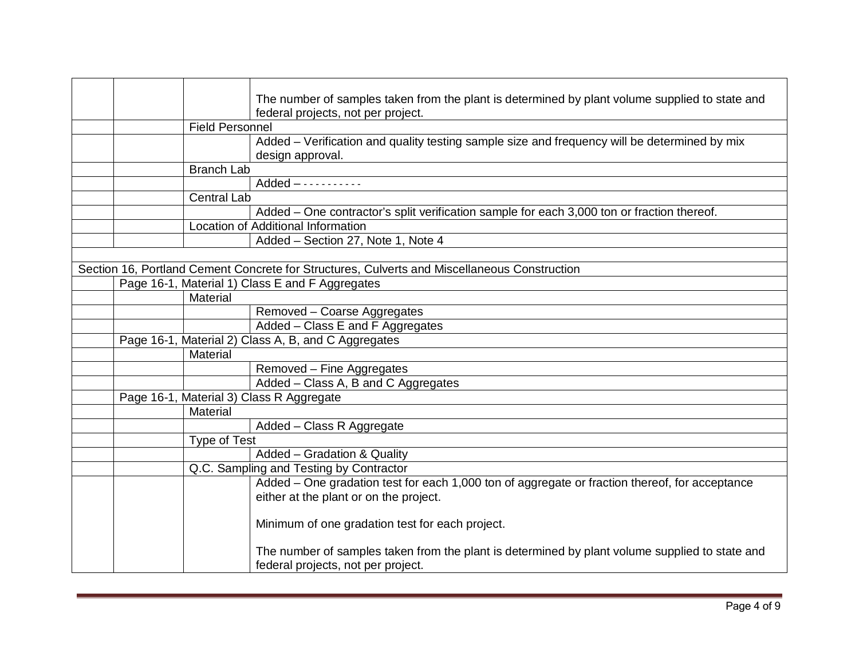|  |                        | The number of samples taken from the plant is determined by plant volume supplied to state and |
|--|------------------------|------------------------------------------------------------------------------------------------|
|  |                        | federal projects, not per project.                                                             |
|  | <b>Field Personnel</b> |                                                                                                |
|  |                        | Added – Verification and quality testing sample size and frequency will be determined by mix   |
|  |                        | design approval.                                                                               |
|  | <b>Branch Lab</b>      |                                                                                                |
|  |                        | $Added$ - - - - - - - - - - -                                                                  |
|  | <b>Central Lab</b>     |                                                                                                |
|  |                        | Added – One contractor's split verification sample for each 3,000 ton or fraction thereof.     |
|  |                        | Location of Additional Information                                                             |
|  |                        | Added - Section 27, Note 1, Note 4                                                             |
|  |                        |                                                                                                |
|  |                        | Section 16, Portland Cement Concrete for Structures, Culverts and Miscellaneous Construction   |
|  |                        | Page 16-1, Material 1) Class E and F Aggregates                                                |
|  | Material               |                                                                                                |
|  |                        | Removed - Coarse Aggregates                                                                    |
|  |                        | Added – Class E and F Aggregates                                                               |
|  |                        | Page 16-1, Material 2) Class A, B, and C Aggregates                                            |
|  | Material               |                                                                                                |
|  |                        | Removed - Fine Aggregates                                                                      |
|  |                        | Added - Class A, B and C Aggregates                                                            |
|  |                        | Page 16-1, Material 3) Class R Aggregate                                                       |
|  | Material               |                                                                                                |
|  |                        | Added - Class R Aggregate                                                                      |
|  | <b>Type of Test</b>    |                                                                                                |
|  |                        | Added - Gradation & Quality                                                                    |
|  |                        | Q.C. Sampling and Testing by Contractor                                                        |
|  |                        | Added – One gradation test for each 1,000 ton of aggregate or fraction thereof, for acceptance |
|  |                        | either at the plant or on the project.                                                         |
|  |                        |                                                                                                |
|  |                        | Minimum of one gradation test for each project.                                                |
|  |                        |                                                                                                |
|  |                        | The number of samples taken from the plant is determined by plant volume supplied to state and |
|  |                        | federal projects, not per project.                                                             |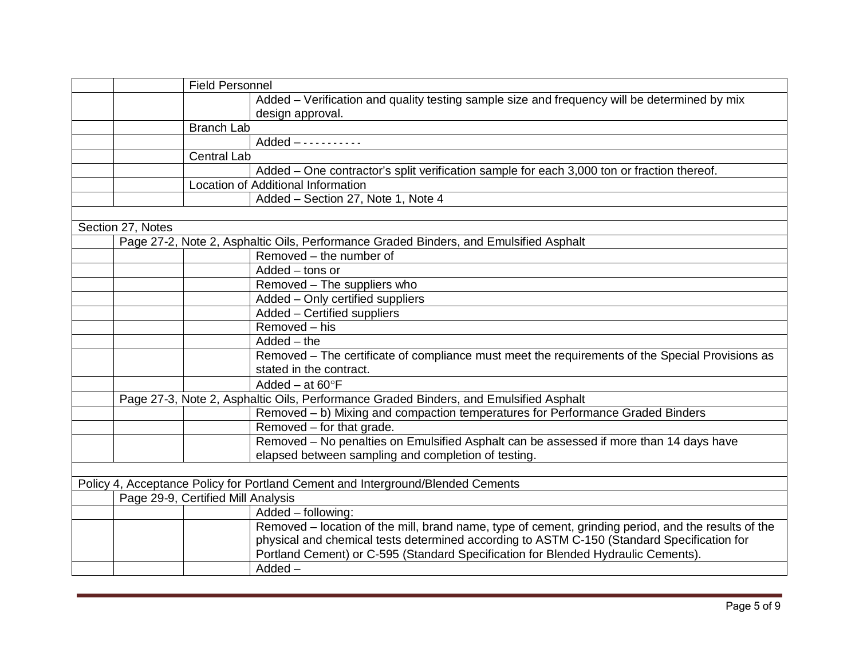|                   | <b>Field Personnel</b>             |                                                                                                     |
|-------------------|------------------------------------|-----------------------------------------------------------------------------------------------------|
|                   |                                    | Added – Verification and quality testing sample size and frequency will be determined by mix        |
|                   |                                    | design approval.                                                                                    |
|                   | <b>Branch Lab</b>                  |                                                                                                     |
|                   |                                    |                                                                                                     |
|                   | <b>Central Lab</b>                 |                                                                                                     |
|                   |                                    | Added - One contractor's split verification sample for each 3,000 ton or fraction thereof.          |
|                   |                                    | Location of Additional Information                                                                  |
|                   |                                    | Added - Section 27, Note 1, Note 4                                                                  |
|                   |                                    |                                                                                                     |
| Section 27, Notes |                                    |                                                                                                     |
|                   |                                    | Page 27-2, Note 2, Asphaltic Oils, Performance Graded Binders, and Emulsified Asphalt               |
|                   |                                    | Removed – the number of                                                                             |
|                   |                                    | Added - tons or                                                                                     |
|                   |                                    | Removed - The suppliers who                                                                         |
|                   |                                    | Added - Only certified suppliers                                                                    |
|                   |                                    | Added - Certified suppliers                                                                         |
|                   |                                    | Removed - his                                                                                       |
|                   |                                    | $Added - the$                                                                                       |
|                   |                                    | Removed – The certificate of compliance must meet the requirements of the Special Provisions as     |
|                   |                                    | stated in the contract.                                                                             |
|                   |                                    | Added – at $60^{\circ}F$                                                                            |
|                   |                                    | Page 27-3, Note 2, Asphaltic Oils, Performance Graded Binders, and Emulsified Asphalt               |
|                   |                                    | Removed - b) Mixing and compaction temperatures for Performance Graded Binders                      |
|                   |                                    | Removed - for that grade.                                                                           |
|                   |                                    | Removed - No penalties on Emulsified Asphalt can be assessed if more than 14 days have              |
|                   |                                    | elapsed between sampling and completion of testing.                                                 |
|                   |                                    |                                                                                                     |
|                   |                                    | Policy 4, Acceptance Policy for Portland Cement and Interground/Blended Cements                     |
|                   | Page 29-9, Certified Mill Analysis |                                                                                                     |
|                   |                                    | Added - following:                                                                                  |
|                   |                                    | Removed – location of the mill, brand name, type of cement, grinding period, and the results of the |
|                   |                                    | physical and chemical tests determined according to ASTM C-150 (Standard Specification for          |
|                   |                                    | Portland Cement) or C-595 (Standard Specification for Blended Hydraulic Cements).                   |
|                   |                                    | $Added -$                                                                                           |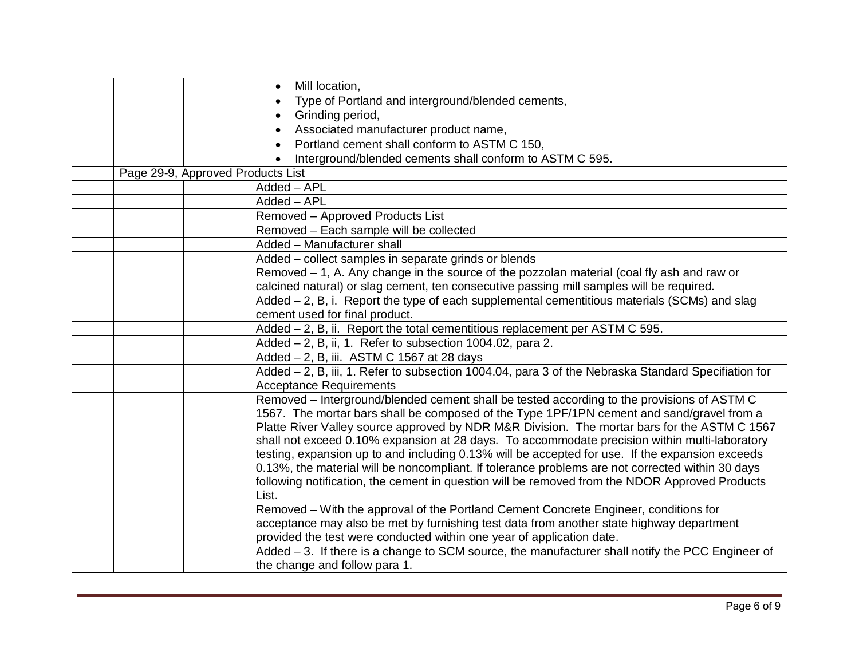|                                   | Mill location,<br>$\bullet$                                                                                                                                                                                                                                                                                                                                                                                                                                                                                                                                                                                                                                                                       |
|-----------------------------------|---------------------------------------------------------------------------------------------------------------------------------------------------------------------------------------------------------------------------------------------------------------------------------------------------------------------------------------------------------------------------------------------------------------------------------------------------------------------------------------------------------------------------------------------------------------------------------------------------------------------------------------------------------------------------------------------------|
|                                   | Type of Portland and interground/blended cements,                                                                                                                                                                                                                                                                                                                                                                                                                                                                                                                                                                                                                                                 |
|                                   | Grinding period,<br>$\bullet$                                                                                                                                                                                                                                                                                                                                                                                                                                                                                                                                                                                                                                                                     |
|                                   | Associated manufacturer product name,<br>$\bullet$                                                                                                                                                                                                                                                                                                                                                                                                                                                                                                                                                                                                                                                |
|                                   | Portland cement shall conform to ASTM C 150,<br>$\bullet$                                                                                                                                                                                                                                                                                                                                                                                                                                                                                                                                                                                                                                         |
|                                   | Interground/blended cements shall conform to ASTM C 595.                                                                                                                                                                                                                                                                                                                                                                                                                                                                                                                                                                                                                                          |
| Page 29-9, Approved Products List |                                                                                                                                                                                                                                                                                                                                                                                                                                                                                                                                                                                                                                                                                                   |
|                                   | Added - APL                                                                                                                                                                                                                                                                                                                                                                                                                                                                                                                                                                                                                                                                                       |
|                                   | Added - APL                                                                                                                                                                                                                                                                                                                                                                                                                                                                                                                                                                                                                                                                                       |
|                                   | Removed - Approved Products List                                                                                                                                                                                                                                                                                                                                                                                                                                                                                                                                                                                                                                                                  |
|                                   | Removed - Each sample will be collected                                                                                                                                                                                                                                                                                                                                                                                                                                                                                                                                                                                                                                                           |
|                                   | Added - Manufacturer shall                                                                                                                                                                                                                                                                                                                                                                                                                                                                                                                                                                                                                                                                        |
|                                   | Added - collect samples in separate grinds or blends                                                                                                                                                                                                                                                                                                                                                                                                                                                                                                                                                                                                                                              |
|                                   | Removed $-$ 1, A. Any change in the source of the pozzolan material (coal fly ash and raw or                                                                                                                                                                                                                                                                                                                                                                                                                                                                                                                                                                                                      |
|                                   | calcined natural) or slag cement, ten consecutive passing mill samples will be required.                                                                                                                                                                                                                                                                                                                                                                                                                                                                                                                                                                                                          |
|                                   | Added – 2, B, i. Report the type of each supplemental cementitious materials (SCMs) and slag                                                                                                                                                                                                                                                                                                                                                                                                                                                                                                                                                                                                      |
|                                   | cement used for final product.                                                                                                                                                                                                                                                                                                                                                                                                                                                                                                                                                                                                                                                                    |
|                                   | Added - 2, B, ii. Report the total cementitious replacement per ASTM C 595.                                                                                                                                                                                                                                                                                                                                                                                                                                                                                                                                                                                                                       |
|                                   | Added - 2, B, ii, 1. Refer to subsection 1004.02, para 2.                                                                                                                                                                                                                                                                                                                                                                                                                                                                                                                                                                                                                                         |
|                                   | Added - 2, B, iii. ASTM C 1567 at 28 days                                                                                                                                                                                                                                                                                                                                                                                                                                                                                                                                                                                                                                                         |
|                                   | Added - 2, B, iii, 1. Refer to subsection 1004.04, para 3 of the Nebraska Standard Specifiation for                                                                                                                                                                                                                                                                                                                                                                                                                                                                                                                                                                                               |
|                                   | <b>Acceptance Requirements</b>                                                                                                                                                                                                                                                                                                                                                                                                                                                                                                                                                                                                                                                                    |
|                                   | Removed – Interground/blended cement shall be tested according to the provisions of ASTM C<br>1567. The mortar bars shall be composed of the Type 1PF/1PN cement and sand/gravel from a<br>Platte River Valley source approved by NDR M&R Division. The mortar bars for the ASTM C 1567<br>shall not exceed 0.10% expansion at 28 days. To accommodate precision within multi-laboratory<br>testing, expansion up to and including 0.13% will be accepted for use. If the expansion exceeds<br>0.13%, the material will be noncompliant. If tolerance problems are not corrected within 30 days<br>following notification, the cement in question will be removed from the NDOR Approved Products |
|                                   | List.                                                                                                                                                                                                                                                                                                                                                                                                                                                                                                                                                                                                                                                                                             |
|                                   | Removed - With the approval of the Portland Cement Concrete Engineer, conditions for                                                                                                                                                                                                                                                                                                                                                                                                                                                                                                                                                                                                              |
|                                   | acceptance may also be met by furnishing test data from another state highway department                                                                                                                                                                                                                                                                                                                                                                                                                                                                                                                                                                                                          |
|                                   | provided the test were conducted within one year of application date.                                                                                                                                                                                                                                                                                                                                                                                                                                                                                                                                                                                                                             |
|                                   | Added - 3. If there is a change to SCM source, the manufacturer shall notify the PCC Engineer of                                                                                                                                                                                                                                                                                                                                                                                                                                                                                                                                                                                                  |
|                                   | the change and follow para 1.                                                                                                                                                                                                                                                                                                                                                                                                                                                                                                                                                                                                                                                                     |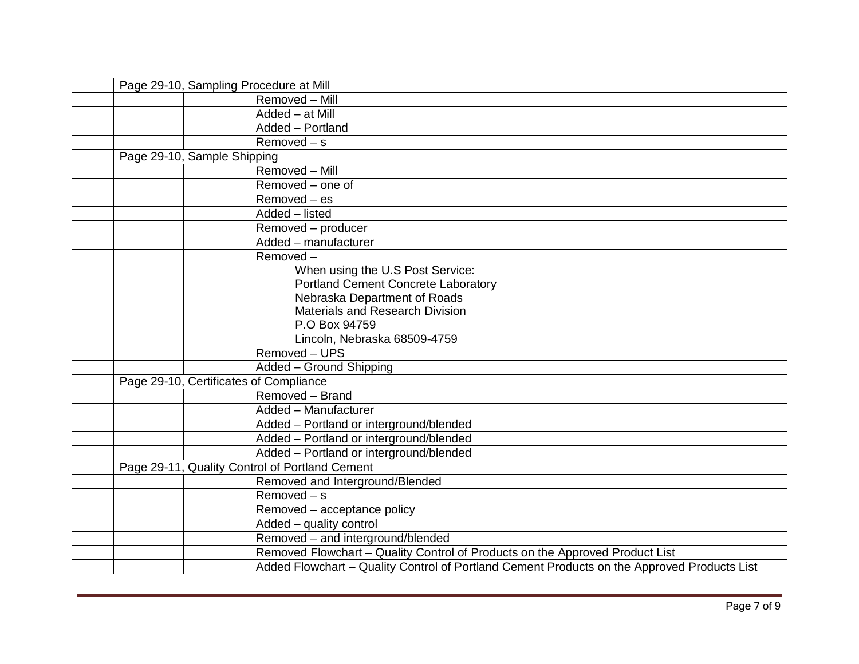|  | Page 29-10, Sampling Procedure at Mill                                                      |
|--|---------------------------------------------------------------------------------------------|
|  | Removed - Mill                                                                              |
|  | Added - at Mill                                                                             |
|  | Added - Portland                                                                            |
|  | $Removed - s$                                                                               |
|  | Page 29-10, Sample Shipping                                                                 |
|  | Removed - Mill                                                                              |
|  | Removed – one of                                                                            |
|  | $Removed - es$                                                                              |
|  | Added - listed                                                                              |
|  | Removed - producer                                                                          |
|  | Added - manufacturer                                                                        |
|  | Removed-                                                                                    |
|  | When using the U.S Post Service:                                                            |
|  | Portland Cement Concrete Laboratory                                                         |
|  | Nebraska Department of Roads                                                                |
|  | <b>Materials and Research Division</b>                                                      |
|  | P.O Box 94759                                                                               |
|  | Lincoln, Nebraska 68509-4759                                                                |
|  | Removed - UPS                                                                               |
|  | Added - Ground Shipping                                                                     |
|  | Page 29-10, Certificates of Compliance                                                      |
|  | Removed - Brand                                                                             |
|  | Added - Manufacturer                                                                        |
|  | Added - Portland or interground/blended                                                     |
|  | Added - Portland or interground/blended                                                     |
|  | Added - Portland or interground/blended                                                     |
|  | Page 29-11, Quality Control of Portland Cement                                              |
|  | Removed and Interground/Blended                                                             |
|  | $Removed - s$                                                                               |
|  | Removed - acceptance policy                                                                 |
|  | Added - quality control                                                                     |
|  | Removed - and interground/blended                                                           |
|  | Removed Flowchart - Quality Control of Products on the Approved Product List                |
|  | Added Flowchart - Quality Control of Portland Cement Products on the Approved Products List |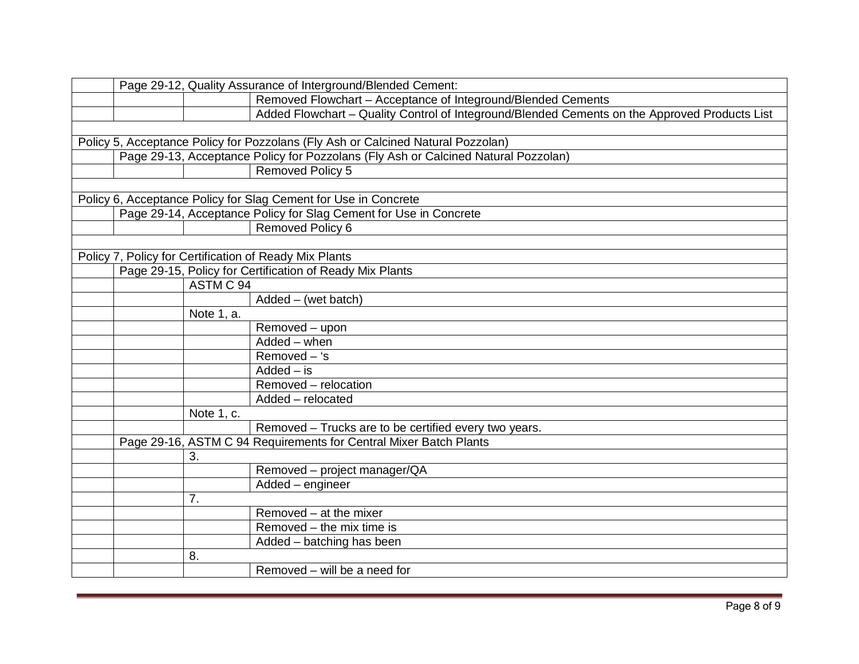|  |            | Page 29-12, Quality Assurance of Interground/Blended Cement:                                  |
|--|------------|-----------------------------------------------------------------------------------------------|
|  |            | Removed Flowchart - Acceptance of Integround/Blended Cements                                  |
|  |            | Added Flowchart - Quality Control of Integround/Blended Cements on the Approved Products List |
|  |            |                                                                                               |
|  |            | Policy 5, Acceptance Policy for Pozzolans (Fly Ash or Calcined Natural Pozzolan)              |
|  |            | Page 29-13, Acceptance Policy for Pozzolans (Fly Ash or Calcined Natural Pozzolan)            |
|  |            | <b>Removed Policy 5</b>                                                                       |
|  |            |                                                                                               |
|  |            | Policy 6, Acceptance Policy for Slag Cement for Use in Concrete                               |
|  |            | Page 29-14, Acceptance Policy for Slag Cement for Use in Concrete                             |
|  |            | Removed Policy 6                                                                              |
|  |            |                                                                                               |
|  |            | Policy 7, Policy for Certification of Ready Mix Plants                                        |
|  |            | Page 29-15, Policy for Certification of Ready Mix Plants                                      |
|  | ASTM C 94  |                                                                                               |
|  |            | $Added - (wet batch)$                                                                         |
|  | Note 1, a. |                                                                                               |
|  |            | Removed - upon                                                                                |
|  |            | Added - when                                                                                  |
|  |            | $Removed - 's$                                                                                |
|  |            | $Added - is$                                                                                  |
|  |            | Removed - relocation                                                                          |
|  |            | Added - relocated                                                                             |
|  | Note 1, c. |                                                                                               |
|  |            | Removed - Trucks are to be certified every two years.                                         |
|  |            | Page 29-16, ASTM C 94 Requirements for Central Mixer Batch Plants                             |
|  | 3.         |                                                                                               |
|  |            | Removed - project manager/QA                                                                  |
|  |            | Added - engineer                                                                              |
|  | 7.         |                                                                                               |
|  |            | Removed - at the mixer                                                                        |
|  |            | Removed – the mix time is                                                                     |
|  |            | Added - batching has been                                                                     |
|  | 8.         |                                                                                               |
|  |            | Removed - will be a need for                                                                  |